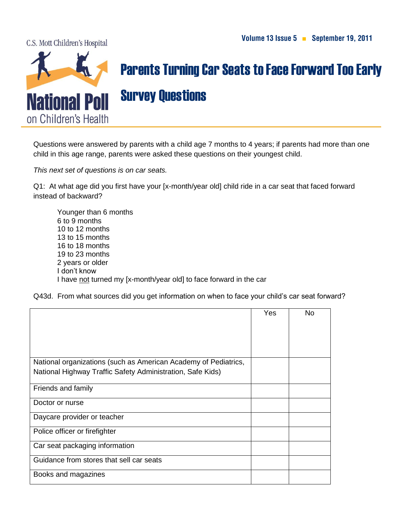C.S. Mott Children's Hospital



## Parents Turning Car Seats to Face Forward Too Early Survey Questions

Questions were answered by parents with a child age 7 months to 4 years; if parents had more than one child in this age range, parents were asked these questions on their youngest child.

*This next set of questions is on car seats.*

Q1: At what age did you first have your [x-month/year old] child ride in a car seat that faced forward instead of backward?

Younger than 6 months 6 to 9 months 10 to 12 months 13 to 15 months 16 to 18 months 19 to 23 months 2 years or older I don't know I have not turned my [x-month/year old] to face forward in the car

Q43d. From what sources did you get information on when to face your child's car seat forward?

|                                                                 | Yes | <b>No</b> |
|-----------------------------------------------------------------|-----|-----------|
|                                                                 |     |           |
| National organizations (such as American Academy of Pediatrics, |     |           |
| National Highway Traffic Safety Administration, Safe Kids)      |     |           |
| Friends and family                                              |     |           |
| Doctor or nurse                                                 |     |           |
| Daycare provider or teacher                                     |     |           |
| Police officer or firefighter                                   |     |           |
| Car seat packaging information                                  |     |           |
| Guidance from stores that sell car seats                        |     |           |
| Books and magazines                                             |     |           |